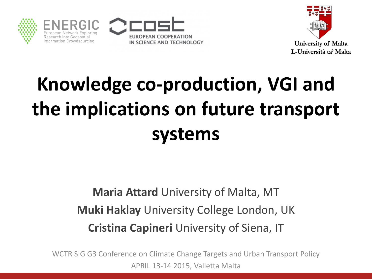







### **Knowledge co-production, VGI and the implications on future transport systems**

#### **Maria Attard** University of Malta, MT **Muki Haklay** University College London, UK **Cristina Capineri** University of Siena, IT

WCTR SIG G3 Conference on Climate Change Targets and Urban Transport Policy APRIL 13-14 2015, Valletta Malta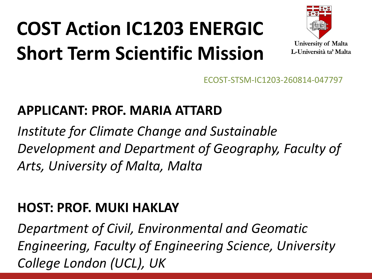### **COST Action IC1203 ENERGIC Short Term Scientific Mission**



ECOST-STSM-IC1203-260814-047797

#### **APPLICANT: PROF. MARIA ATTARD**

*Institute for Climate Change and Sustainable Development and Department of Geography, Faculty of Arts, University of Malta, Malta*

#### **HOST: PROF. MUKI HAKLAY**

*Department of Civil, Environmental and Geomatic Engineering, Faculty of Engineering Science, University College London (UCL), UK*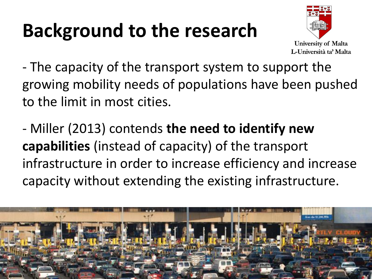### **Background to the research**



- The capacity of the transport system to support the growing mobility needs of populations have been pushed to the limit in most cities.

- Miller (2013) contends **the need to identify new capabilities** (instead of capacity) of the transport infrastructure in order to increase efficiency and increase capacity without extending the existing infrastructure.

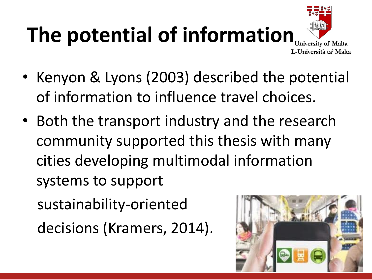# **The potential of information**



- Kenyon & Lyons (2003) described the potential of information to influence travel choices.
- Both the transport industry and the research community supported this thesis with many cities developing multimodal information systems to support

sustainability-oriented

decisions (Kramers, 2014).

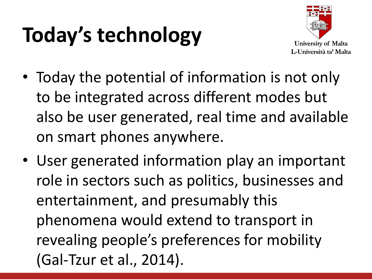# **Today's technology**



- Today the potential of information is not only to be integrated across different modes but also be user generated, real time and available on smart phones anywhere.
- User generated information play an important role in sectors such as politics, businesses and entertainment, and presumably this phenomena would extend to transport in revealing people's preferences for mobility (Gal-Tzur et al., 2014).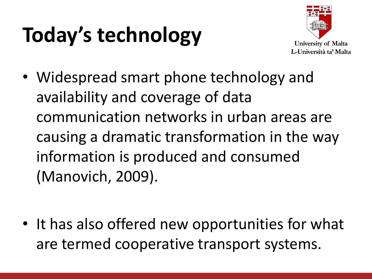# **Today's technology**



• Widespread smart phone technology and availability and coverage of data communication networks in urban areas are causing a dramatic transformation in the way information is produced and consumed (Manovich, 2009).

• It has also offered new opportunities for what are termed cooperative transport systems.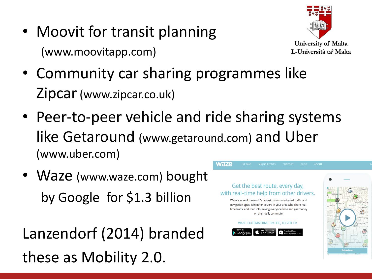• Moovit for transit planning (www.moovitapp.com)



- Community car sharing programmes like Zipcar(www.zipcar.co.uk)
- Peer-to-peer vehicle and ride sharing systems like Getaround (www.getaround.com) and Uber (www.uber.com)
- Waze (www.waze.com) bought by Google for \$1.3 billion

Lanzendorf (2014) branded these as Mobility 2.0.

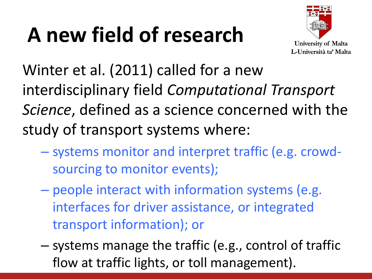# **A new field of research**



Winter et al. (2011) called for a new interdisciplinary field *Computational Transport Science*, defined as a science concerned with the study of transport systems where:

- systems monitor and interpret traffic (e.g. crowdsourcing to monitor events);
- people interact with information systems (e.g. interfaces for driver assistance, or integrated transport information); or
- systems manage the traffic (e.g., control of traffic flow at traffic lights, or toll management).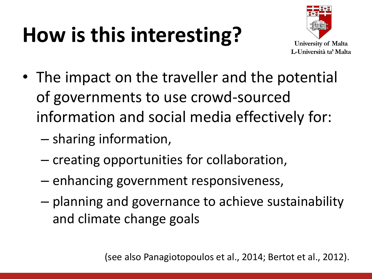### **How is this interesting?**



- The impact on the traveller and the potential of governments to use crowd-sourced information and social media effectively for:
	- sharing information,
	- creating opportunities for collaboration,
	- enhancing government responsiveness,
	- planning and governance to achieve sustainability and climate change goals

(see also Panagiotopoulos et al., 2014; Bertot et al., 2012).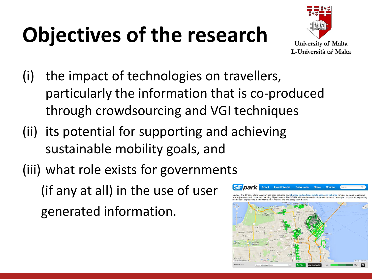# **Objectives of the research**



- (i) the impact of technologies on travellers, particularly the information that is co-produced through crowdsourcing and VGI techniques
- (ii) its potential for supporting and achieving sustainable mobility goals, and
- (iii) what role exists for governments

(if any at all) in the use of user generated information.